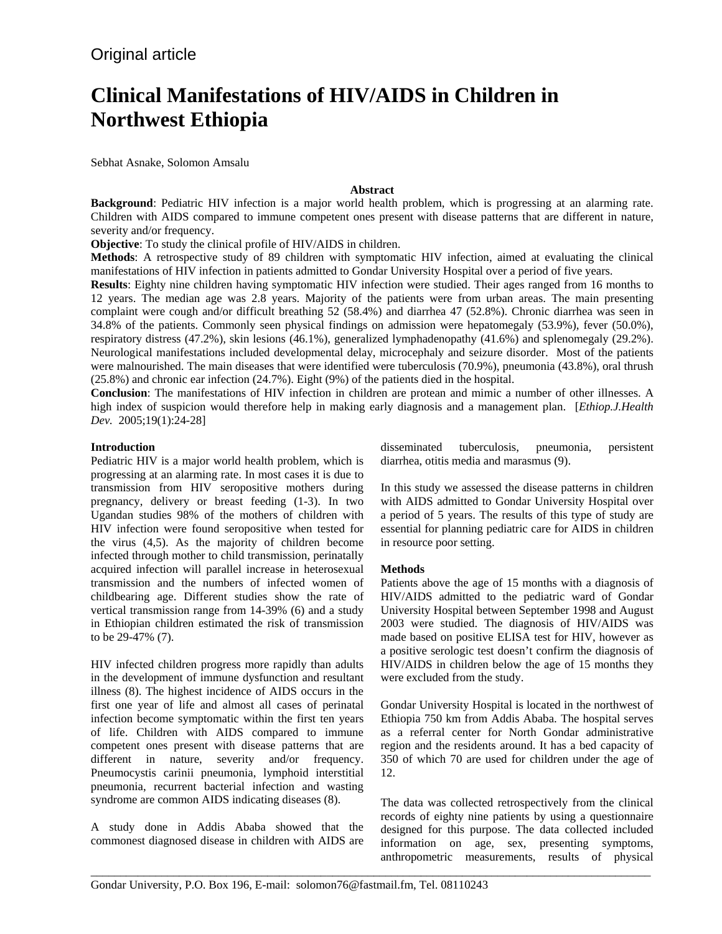# **Clinical Manifestations of HIV/AIDS in Children in Northwest Ethiopia**

Sebhat Asnake, Solomon Amsalu

## **Abstract**

**Background**: Pediatric HIV infection is a major world health problem, which is progressing at an alarming rate. Children with AIDS compared to immune competent ones present with disease patterns that are different in nature, severity and/or frequency.

**Objective**: To study the clinical profile of HIV/AIDS in children.

**Methods**: A retrospective study of 89 children with symptomatic HIV infection, aimed at evaluating the clinical manifestations of HIV infection in patients admitted to Gondar University Hospital over a period of five years.

**Results**: Eighty nine children having symptomatic HIV infection were studied. Their ages ranged from 16 months to 12 years. The median age was 2.8 years. Majority of the patients were from urban areas. The main presenting complaint were cough and/or difficult breathing 52 (58.4%) and diarrhea 47 (52.8%). Chronic diarrhea was seen in 34.8% of the patients. Commonly seen physical findings on admission were hepatomegaly (53.9%), fever (50.0%), respiratory distress (47.2%), skin lesions (46.1%), generalized lymphadenopathy (41.6%) and splenomegaly (29.2%). Neurological manifestations included developmental delay, microcephaly and seizure disorder. Most of the patients were malnourished. The main diseases that were identified were tuberculosis (70.9%), pneumonia (43.8%), oral thrush (25.8%) and chronic ear infection (24.7%). Eight (9%) of the patients died in the hospital.

**Conclusion**: The manifestations of HIV infection in children are protean and mimic a number of other illnesses. A high index of suspicion would therefore help in making early diagnosis and a management plan. [*Ethiop.J.Health Dev.* 2005;19(1):24-28]

## **Introduction**

Pediatric HIV is a major world health problem, which is progressing at an alarming rate. In most cases it is due to transmission from HIV seropositive mothers during pregnancy, delivery or breast feeding (1-3). In two Ugandan studies 98% of the mothers of children with HIV infection were found seropositive when tested for the virus (4,5). As the majority of children become infected through mother to child transmission, perinatally acquired infection will parallel increase in heterosexual transmission and the numbers of infected women of childbearing age. Different studies show the rate of vertical transmission range from 14-39% (6) and a study in Ethiopian children estimated the risk of transmission to be 29-47% (7).

HIV infected children progress more rapidly than adults in the development of immune dysfunction and resultant illness (8). The highest incidence of AIDS occurs in the first one year of life and almost all cases of perinatal infection become symptomatic within the first ten years of life. Children with AIDS compared to immune competent ones present with disease patterns that are different in nature, severity and/or frequency. Pneumocystis carinii pneumonia, lymphoid interstitial pneumonia, recurrent bacterial infection and wasting syndrome are common AIDS indicating diseases (8).

A study done in Addis Ababa showed that the commonest diagnosed disease in children with AIDS are disseminated tuberculosis, pneumonia, persistent diarrhea, otitis media and marasmus (9).

In this study we assessed the disease patterns in children with AIDS admitted to Gondar University Hospital over a period of 5 years. The results of this type of study are essential for planning pediatric care for AIDS in children in resource poor setting.

### **Methods**

Patients above the age of 15 months with a diagnosis of HIV/AIDS admitted to the pediatric ward of Gondar University Hospital between September 1998 and August 2003 were studied. The diagnosis of HIV/AIDS was made based on positive ELISA test for HIV, however as a positive serologic test doesn't confirm the diagnosis of HIV/AIDS in children below the age of 15 months they were excluded from the study.

Gondar University Hospital is located in the northwest of Ethiopia 750 km from Addis Ababa. The hospital serves as a referral center for North Gondar administrative region and the residents around. It has a bed capacity of 350 of which 70 are used for children under the age of 12.

The data was collected retrospectively from the clinical records of eighty nine patients by using a questionnaire designed for this purpose. The data collected included information on age, sex, presenting symptoms, anthropometric measurements, results of physical

\_\_\_\_\_\_\_\_\_\_\_\_\_\_\_\_\_\_\_\_\_\_\_\_\_\_\_\_\_\_\_\_\_\_\_\_\_\_\_\_\_\_\_\_\_\_\_\_\_\_\_\_\_\_\_\_\_\_\_\_\_\_\_\_\_\_\_\_\_\_\_\_\_\_\_\_\_\_\_\_\_\_\_\_\_\_\_\_\_\_\_\_\_\_\_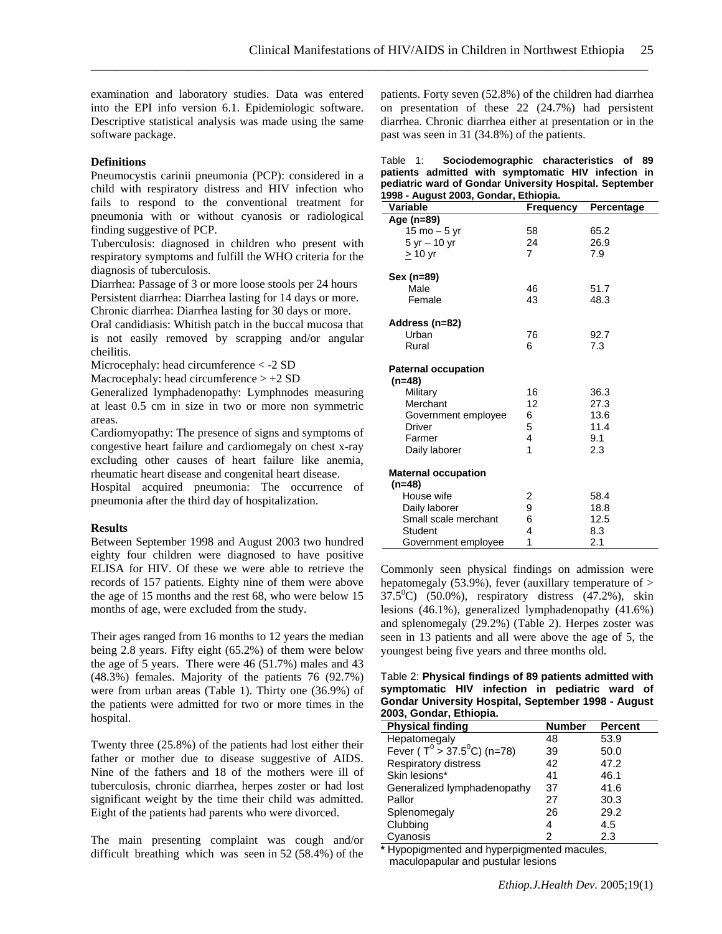\_\_\_\_\_\_\_\_\_\_\_\_\_\_\_\_\_\_\_\_\_\_\_\_\_\_\_\_\_\_\_\_\_\_\_\_\_\_\_\_\_\_\_\_\_\_\_\_\_\_\_\_\_\_\_\_\_\_\_\_\_\_\_\_\_\_\_\_\_\_\_\_\_\_\_\_\_\_\_\_\_\_\_\_\_\_

examination and laboratory studies. Data was entered into the EPI info version 6.1. Epidemiologic software. Descriptive statistical analysis was made using the same software package.

## **Definitions**

Pneumocystis carinii pneumonia (PCP): considered in a child with respiratory distress and HIV infection who fails to respond to the conventional treatment for pneumonia with or without cyanosis or radiological finding suggestive of PCP.

Tuberculosis: diagnosed in children who present with respiratory symptoms and fulfill the WHO criteria for the diagnosis of tuberculosis.

Diarrhea: Passage of 3 or more loose stools per 24 hours Persistent diarrhea: Diarrhea lasting for 14 days or more. Chronic diarrhea: Diarrhea lasting for 30 days or more.

Oral candidiasis: Whitish patch in the buccal mucosa that is not easily removed by scrapping and/or angular cheilitis.

Microcephaly: head circumference < -2 SD

Macrocephaly: head circumference  $> +2$  SD

Generalized lymphadenopathy: Lymphnodes measuring at least 0.5 cm in size in two or more non symmetric areas.

Cardiomyopathy: The presence of signs and symptoms of congestive heart failure and cardiomegaly on chest x-ray excluding other causes of heart failure like anemia, rheumatic heart disease and congenital heart disease.

Hospital acquired pneumonia: The occurrence of pneumonia after the third day of hospitalization.

## **Results**

Between September 1998 and August 2003 two hundred eighty four children were diagnosed to have positive ELISA for HIV. Of these we were able to retrieve the records of 157 patients. Eighty nine of them were above the age of 15 months and the rest 68, who were below 15 months of age, were excluded from the study.

Their ages ranged from 16 months to 12 years the median being 2.8 years. Fifty eight (65.2%) of them were below the age of 5 years. There were 46 (51.7%) males and 43 (48.3%) females. Majority of the patients 76 (92.7%) were from urban areas (Table 1). Thirty one (36.9%) of the patients were admitted for two or more times in the hospital.

Twenty three (25.8%) of the patients had lost either their father or mother due to disease suggestive of AIDS. Nine of the fathers and 18 of the mothers were ill of tuberculosis, chronic diarrhea, herpes zoster or had lost significant weight by the time their child was admitted. Eight of the patients had parents who were divorced.

The main presenting complaint was cough and/or difficult breathing which was seen in 52 (58.4%) of the patients. Forty seven (52.8%) of the children had diarrhea on presentation of these 22 (24.7%) had persistent diarrhea. Chronic diarrhea either at presentation or in the past was seen in 31 (34.8%) of the patients.

| Table 1:                                                |  |                                                     |  | Sociodemographic characteristics of 89 |  |  |  |  |
|---------------------------------------------------------|--|-----------------------------------------------------|--|----------------------------------------|--|--|--|--|
|                                                         |  | patients admitted with symptomatic HIV infection in |  |                                        |  |  |  |  |
| pediatric ward of Gondar University Hospital. September |  |                                                     |  |                                        |  |  |  |  |
| 1998 - August 2003, Gondar, Ethiopia.                   |  |                                                     |  |                                        |  |  |  |  |

| 990 - August Zuus, Gunuar, Ethiopia.<br>Variable | <b>Frequency</b> | Percentage |  |  |  |
|--------------------------------------------------|------------------|------------|--|--|--|
| Age (n=89)                                       |                  |            |  |  |  |
| $15 \text{ mo} - 5 \text{ vr}$                   | 58               | 65.2       |  |  |  |
| $5 yr - 10 yr$                                   | 24               | 26.9       |  |  |  |
| > 10 yr                                          | $\overline{7}$   | 7.9        |  |  |  |
|                                                  |                  |            |  |  |  |
| Sex (n=89)                                       |                  |            |  |  |  |
| Male                                             | 46               | 51.7       |  |  |  |
| Female                                           | 43               | 48.3       |  |  |  |
|                                                  |                  |            |  |  |  |
| Address (n=82)                                   |                  |            |  |  |  |
| Urban                                            | 76               | 92.7       |  |  |  |
| Rural                                            | 6                | 7.3        |  |  |  |
|                                                  |                  |            |  |  |  |
| <b>Paternal occupation</b>                       |                  |            |  |  |  |
| (n=48)                                           |                  |            |  |  |  |
| Military                                         | 16               | 36.3       |  |  |  |
| Merchant                                         | 12               | 27.3       |  |  |  |
| Government employee                              | 6                | 13.6       |  |  |  |
| Driver                                           | 5                | 11.4       |  |  |  |
| Farmer                                           | 4                | 9.1        |  |  |  |
| Daily laborer                                    | 1                | 2.3        |  |  |  |
|                                                  |                  |            |  |  |  |
| <b>Maternal occupation</b>                       |                  |            |  |  |  |
| $(n=48)$                                         |                  |            |  |  |  |
| House wife                                       | 2                | 58.4       |  |  |  |
| Daily laborer                                    | 9                | 18.8       |  |  |  |
| Small scale merchant                             | 6                | 12.5       |  |  |  |
| Student                                          | 4                | 8.3        |  |  |  |
| Government employee                              | 1                | 2.1        |  |  |  |

Commonly seen physical findings on admission were hepatomegaly (53.9%), fever (auxillary temperature of  $>$  $37.5^{\circ}$ C) (50.0%), respiratory distress (47.2%), skin lesions (46.1%), generalized lymphadenopathy (41.6%) and splenomegaly (29.2%) (Table 2). Herpes zoster was seen in 13 patients and all were above the age of 5, the youngest being five years and three months old.

Table 2: **Physical findings of 89 patients admitted with symptomatic HIV infection in pediatric ward of Gondar University Hospital, September 1998 - August 2003, Gondar, Ethiopia.**

| <b>Physical finding</b>                     | <b>Number</b> | <b>Percent</b> |
|---------------------------------------------|---------------|----------------|
| Hepatomegaly                                | 48            | 53.9           |
| Fever ( $T^0 > 37.5$ <sup>o</sup> C) (n=78) | 39            | 50.0           |
| Respiratory distress                        | 42            | 47.2           |
| Skin lesions*                               | 41            | 46.1           |
| Generalized lymphadenopathy                 | 37            | 41.6           |
| Pallor                                      | 27            | 30.3           |
| Splenomegaly                                | 26            | 29.2           |
| Clubbing                                    | 4             | 4.5            |
| Cvanosis                                    | 2             | 2.3            |

**\*** Hypopigmented and hyperpigmented macules, maculopapular and pustular lesions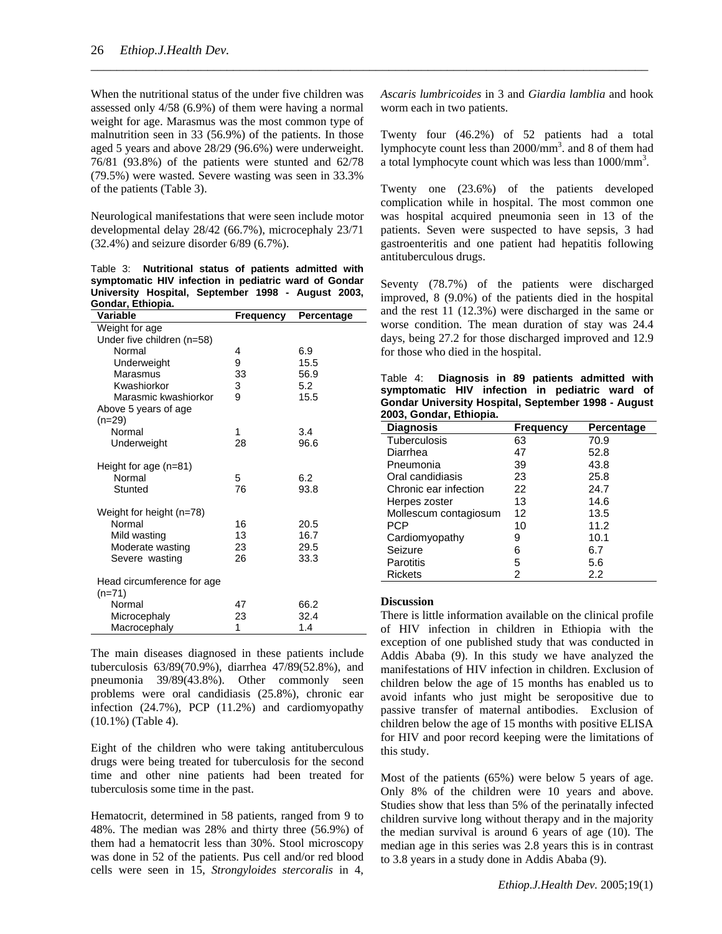When the nutritional status of the under five children was assessed only 4/58 (6.9%) of them were having a normal weight for age. Marasmus was the most common type of malnutrition seen in 33 (56.9%) of the patients. In those aged 5 years and above 28/29 (96.6%) were underweight. 76/81 (93.8%) of the patients were stunted and 62/78 (79.5%) were wasted. Severe wasting was seen in 33.3% of the patients (Table 3).

Neurological manifestations that were seen include motor developmental delay 28/42 (66.7%), microcephaly 23/71 (32.4%) and seizure disorder 6/89 (6.7%).

Table 3: **Nutritional status of patients admitted with symptomatic HIV infection in pediatric ward of Gondar University Hospital, September 1998 - August 2003, Gondar, Ethiopia.**

| <b>Variable</b>            | Frequency | Percentage |
|----------------------------|-----------|------------|
| Weight for age             |           |            |
| Under five children (n=58) |           |            |
| Normal                     | 4         | 6.9        |
| Underweight                | 9         | 15.5       |
| Marasmus                   | 33        | 56.9       |
| Kwashiorkor                | 3         | 5.2        |
| Marasmic kwashiorkor       | 9         | 15.5       |
| Above 5 years of age       |           |            |
| $(n=29)$                   |           |            |
| Normal                     | 1         | 3.4        |
| Underweight                | 28        | 96.6       |
|                            |           |            |
| Height for age $(n=81)$    |           |            |
| Normal                     | 5         | 6.2        |
| Stunted                    | 76        | 93.8       |
|                            |           |            |
| Weight for height (n=78)   |           |            |
| Normal                     | 16        | 20.5       |
| Mild wasting               | 13        | 16.7       |
| Moderate wasting           | 23        | 29.5       |
| Severe wasting             | 26        | 33.3       |
|                            |           |            |
| Head circumference for age |           |            |
| $(n=71)$                   |           |            |
| Normal                     | 47        | 66.2       |
| Microcephaly               | 23        | 32.4       |
| Macrocephaly               | 1         | 1.4        |

The main diseases diagnosed in these patients include tuberculosis 63/89(70.9%), diarrhea 47/89(52.8%), and pneumonia 39/89(43.8%). Other commonly seen problems were oral candidiasis (25.8%), chronic ear infection (24.7%), PCP (11.2%) and cardiomyopathy (10.1%) (Table 4).

Eight of the children who were taking antituberculous drugs were being treated for tuberculosis for the second time and other nine patients had been treated for tuberculosis some time in the past.

Hematocrit, determined in 58 patients, ranged from 9 to 48%. The median was 28% and thirty three (56.9%) of them had a hematocrit less than 30%. Stool microscopy was done in 52 of the patients. Pus cell and/or red blood cells were seen in 15, *Strongyloides stercoralis* in 4, *Ascaris lumbricoides* in 3 and *Giardia lamblia* and hook worm each in two patients.

Twenty four (46.2%) of 52 patients had a total lymphocyte count less than 2000/mm<sup>3</sup>. and 8 of them had a total lymphocyte count which was less than 1000/mm<sup>3</sup>.

Twenty one (23.6%) of the patients developed complication while in hospital. The most common one was hospital acquired pneumonia seen in 13 of the patients. Seven were suspected to have sepsis, 3 had gastroenteritis and one patient had hepatitis following antituberculous drugs.

Seventy (78.7%) of the patients were discharged improved, 8 (9.0%) of the patients died in the hospital and the rest 11 (12.3%) were discharged in the same or worse condition. The mean duration of stay was 24.4 days, being 27.2 for those discharged improved and 12.9 for those who died in the hospital.

|                                                     |  |  |  |  | Table 4: Diagnosis in 89 patients admitted with |  |
|-----------------------------------------------------|--|--|--|--|-------------------------------------------------|--|
|                                                     |  |  |  |  | symptomatic HIV infection in pediatric ward of  |  |
| Gondar University Hospital, September 1998 - August |  |  |  |  |                                                 |  |
| 2003. Gondar. Ethiopia.                             |  |  |  |  |                                                 |  |

| <b>Diagnosis</b>      | Frequency | Percentage |
|-----------------------|-----------|------------|
| Tuberculosis          | 63        | 70.9       |
| Diarrhea              | 47        | 52.8       |
| Pneumonia             | 39        | 43.8       |
| Oral candidiasis      | 23        | 25.8       |
| Chronic ear infection | 22        | 24.7       |
| Herpes zoster         | 13        | 14.6       |
| Mollescum contagiosum | 12        | 13.5       |
| PCP                   | 10        | 11.2       |
| Cardiomyopathy        | 9         | 10.1       |
| Seizure               | 6         | 6.7        |
| Parotitis             | 5         | 5.6        |
| Rickets               | 2         | 2.2        |

### **Discussion**

\_\_\_\_\_\_\_\_\_\_\_\_\_\_\_\_\_\_\_\_\_\_\_\_\_\_\_\_\_\_\_\_\_\_\_\_\_\_\_\_\_\_\_\_\_\_\_\_\_\_\_\_\_\_\_\_\_\_\_\_\_\_\_\_\_\_\_\_\_\_\_\_\_\_\_\_\_\_\_\_\_\_\_\_\_\_

There is little information available on the clinical profile of HIV infection in children in Ethiopia with the exception of one published study that was conducted in Addis Ababa (9). In this study we have analyzed the manifestations of HIV infection in children. Exclusion of children below the age of 15 months has enabled us to avoid infants who just might be seropositive due to passive transfer of maternal antibodies. Exclusion of children below the age of 15 months with positive ELISA for HIV and poor record keeping were the limitations of this study.

Most of the patients (65%) were below 5 years of age. Only 8% of the children were 10 years and above. Studies show that less than 5% of the perinatally infected children survive long without therapy and in the majority the median survival is around 6 years of age (10). The median age in this series was 2.8 years this is in contrast to 3.8 years in a study done in Addis Ababa (9).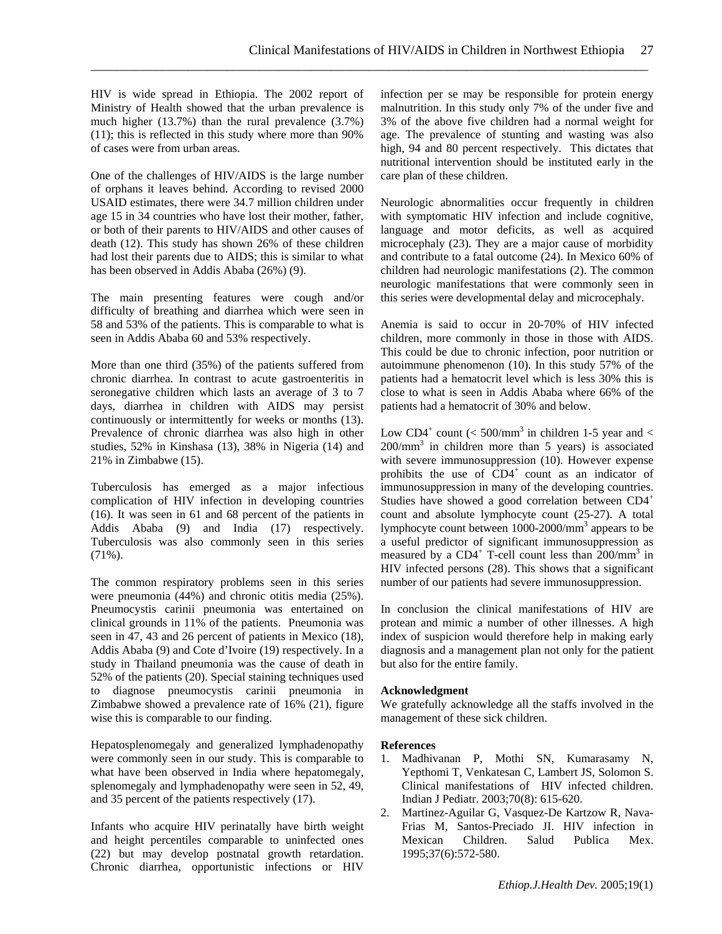\_\_\_\_\_\_\_\_\_\_\_\_\_\_\_\_\_\_\_\_\_\_\_\_\_\_\_\_\_\_\_\_\_\_\_\_\_\_\_\_\_\_\_\_\_\_\_\_\_\_\_\_\_\_\_\_\_\_\_\_\_\_\_\_\_\_\_\_\_\_\_\_\_\_\_\_\_\_\_\_\_\_\_\_\_\_

HIV is wide spread in Ethiopia. The 2002 report of Ministry of Health showed that the urban prevalence is much higher (13.7%) than the rural prevalence (3.7%) (11); this is reflected in this study where more than 90% of cases were from urban areas.

One of the challenges of HIV/AIDS is the large number of orphans it leaves behind. According to revised 2000 USAID estimates, there were 34.7 million children under age 15 in 34 countries who have lost their mother, father, or both of their parents to HIV/AIDS and other causes of death (12). This study has shown 26% of these children had lost their parents due to AIDS; this is similar to what has been observed in Addis Ababa (26%) (9).

The main presenting features were cough and/or difficulty of breathing and diarrhea which were seen in 58 and 53% of the patients. This is comparable to what is seen in Addis Ababa 60 and 53% respectively.

More than one third (35%) of the patients suffered from chronic diarrhea. In contrast to acute gastroenteritis in seronegative children which lasts an average of 3 to 7 days, diarrhea in children with AIDS may persist continuously or intermittently for weeks or months (13). Prevalence of chronic diarrhea was also high in other studies, 52% in Kinshasa (13), 38% in Nigeria (14) and 21% in Zimbabwe (15).

Tuberculosis has emerged as a major infectious complication of HIV infection in developing countries (16). It was seen in 61 and 68 percent of the patients in Addis Ababa (9) and India (17) respectively. Tuberculosis was also commonly seen in this series  $(71\%)$ .

The common respiratory problems seen in this series were pneumonia (44%) and chronic otitis media (25%). Pneumocystis carinii pneumonia was entertained on clinical grounds in 11% of the patients. Pneumonia was seen in 47, 43 and 26 percent of patients in Mexico (18), Addis Ababa (9) and Cote d'Ivoire (19) respectively. In a study in Thailand pneumonia was the cause of death in 52% of the patients (20). Special staining techniques used to diagnose pneumocystis carinii pneumonia in Zimbabwe showed a prevalence rate of 16% (21), figure wise this is comparable to our finding.

Hepatosplenomegaly and generalized lymphadenopathy were commonly seen in our study. This is comparable to what have been observed in India where hepatomegaly, splenomegaly and lymphadenopathy were seen in 52, 49, and 35 percent of the patients respectively (17).

Infants who acquire HIV perinatally have birth weight and height percentiles comparable to uninfected ones (22) but may develop postnatal growth retardation. Chronic diarrhea, opportunistic infections or HIV

infection per se may be responsible for protein energy malnutrition. In this study only 7% of the under five and 3% of the above five children had a normal weight for age. The prevalence of stunting and wasting was also high, 94 and 80 percent respectively. This dictates that nutritional intervention should be instituted early in the care plan of these children.

Neurologic abnormalities occur frequently in children with symptomatic HIV infection and include cognitive, language and motor deficits, as well as acquired microcephaly (23). They are a major cause of morbidity and contribute to a fatal outcome (24). In Mexico 60% of children had neurologic manifestations (2). The common neurologic manifestations that were commonly seen in this series were developmental delay and microcephaly.

Anemia is said to occur in 20-70% of HIV infected children, more commonly in those in those with AIDS. This could be due to chronic infection, poor nutrition or autoimmune phenomenon (10). In this study 57% of the patients had a hematocrit level which is less 30% this is close to what is seen in Addis Ababa where 66% of the patients had a hematocrit of 30% and below.

Low CD4<sup>+</sup> count  $(<$  500/mm<sup>3</sup> in children 1-5 year and  $<$ 200/mm3 in children more than 5 years) is associated with severe immunosuppression (10). However expense prohibits the use of  $\overline{CD4}^+$  count as an indicator of immunosuppression in many of the developing countries. Studies have showed a good correlation between CD4<sup>+</sup> count and absolute lymphocyte count (25-27). A total lymphocyte count between 1000-2000/mm3 appears to be a useful predictor of significant immunosuppression as measured by a  $CD4^+$  T-cell count less than  $200/\text{mm}^3$  in HIV infected persons (28). This shows that a significant number of our patients had severe immunosuppression.

In conclusion the clinical manifestations of HIV are protean and mimic a number of other illnesses. A high index of suspicion would therefore help in making early diagnosis and a management plan not only for the patient but also for the entire family.

### **Acknowledgment**

We gratefully acknowledge all the staffs involved in the management of these sick children.

### **References**

- 1. Madhivanan P, Mothi SN, Kumarasamy N, Yepthomi T, Venkatesan C, Lambert JS, Solomon S. Clinical manifestations of HIV infected children. Indian J Pediatr. 2003;70(8): 615-620.
- 2. Martinez-Aguilar G, Vasquez-De Kartzow R, Nava-Frias M, Santos-Preciado JI. HIV infection in Mexican Children. Salud Publica Mex. 1995;37(6):572-580.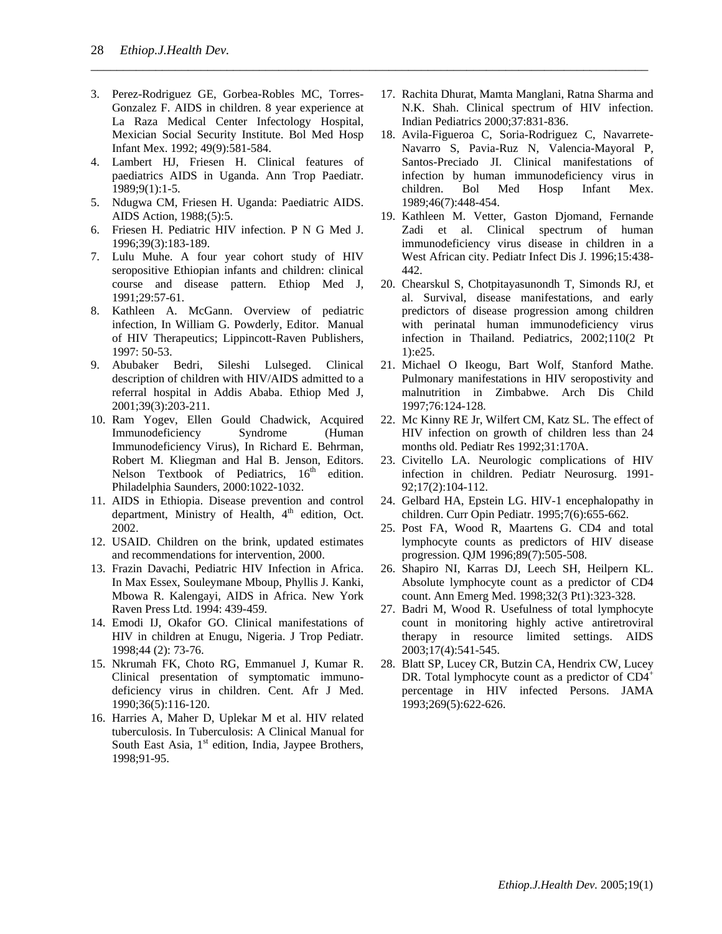- 3. Perez-Rodriguez GE, Gorbea-Robles MC, Torres-Gonzalez F. AIDS in children. 8 year experience at La Raza Medical Center Infectology Hospital, Mexician Social Security Institute. Bol Med Hosp Infant Mex. 1992; 49(9):581-584.
- 4. Lambert HJ, Friesen H. Clinical features of paediatrics AIDS in Uganda. Ann Trop Paediatr. 1989;9(1):1-5.
- 5. Ndugwa CM, Friesen H. Uganda: Paediatric AIDS. AIDS Action, 1988;(5):5.
- 6. Friesen H. Pediatric HIV infection. P N G Med J. 1996;39(3):183-189.
- 7. Lulu Muhe. A four year cohort study of HIV seropositive Ethiopian infants and children: clinical course and disease pattern. Ethiop Med J, 1991;29:57-61.
- 8. Kathleen A. McGann. Overview of pediatric infection, In William G. Powderly, Editor. Manual of HIV Therapeutics; Lippincott-Raven Publishers, 1997: 50-53.
- 9. Abubaker Bedri, Sileshi Lulseged. Clinical description of children with HIV/AIDS admitted to a referral hospital in Addis Ababa. Ethiop Med J, 2001;39(3):203-211.
- 10. Ram Yogev, Ellen Gould Chadwick, Acquired Immunodeficiency Syndrome (Human Immunodeficiency Virus), In Richard E. Behrman, Robert M. Kliegman and Hal B. Jenson, Editors. Nelson Textbook of Pediatrics,  $16<sup>th</sup>$  edition. Philadelphia Saunders, 2000:1022-1032.
- 11. AIDS in Ethiopia. Disease prevention and control department, Ministry of Health,  $4<sup>th</sup>$  edition, Oct. 2002.
- 12. USAID. Children on the brink, updated estimates and recommendations for intervention, 2000.
- 13. Frazin Davachi, Pediatric HIV Infection in Africa. In Max Essex, Souleymane Mboup, Phyllis J. Kanki, Mbowa R. Kalengayi, AIDS in Africa. New York Raven Press Ltd. 1994: 439-459.
- 14. Emodi IJ, Okafor GO. Clinical manifestations of HIV in children at Enugu, Nigeria. J Trop Pediatr. 1998;44 (2): 73-76.
- 15. Nkrumah FK, Choto RG, Emmanuel J, Kumar R. Clinical presentation of symptomatic immunodeficiency virus in children. Cent. Afr J Med. 1990;36(5):116-120.
- 16. Harries A, Maher D, Uplekar M et al. HIV related tuberculosis. In Tuberculosis: A Clinical Manual for South East Asia,  $1<sup>st</sup>$  edition, India, Jaypee Brothers, 1998;91-95.

17. Rachita Dhurat, Mamta Manglani, Ratna Sharma and N.K. Shah. Clinical spectrum of HIV infection. Indian Pediatrics 2000;37:831-836.

\_\_\_\_\_\_\_\_\_\_\_\_\_\_\_\_\_\_\_\_\_\_\_\_\_\_\_\_\_\_\_\_\_\_\_\_\_\_\_\_\_\_\_\_\_\_\_\_\_\_\_\_\_\_\_\_\_\_\_\_\_\_\_\_\_\_\_\_\_\_\_\_\_\_\_\_\_\_\_\_\_\_\_\_\_\_

- 18. Avila-Figueroa C, Soria-Rodriguez C, Navarrete-Navarro S, Pavia-Ruz N, Valencia-Mayoral P, Santos-Preciado JI. Clinical manifestations of infection by human immunodeficiency virus in children. Bol Med Hosp Infant Mex. 1989;46(7):448-454.
- 19. Kathleen M. Vetter, Gaston Djomand, Fernande Zadi et al. Clinical spectrum of human immunodeficiency virus disease in children in a West African city. Pediatr Infect Dis J. 1996;15:438- 442.
- 20. Chearskul S, Chotpitayasunondh T, Simonds RJ, et al. Survival, disease manifestations, and early predictors of disease progression among children with perinatal human immunodeficiency virus infection in Thailand. Pediatrics, 2002;110(2 Pt 1):e25.
- 21. Michael O Ikeogu, Bart Wolf, Stanford Mathe. Pulmonary manifestations in HIV seropostivity and malnutrition in Zimbabwe. Arch Dis Child 1997;76:124-128.
- 22. Mc Kinny RE Jr, Wilfert CM, Katz SL. The effect of HIV infection on growth of children less than 24 months old. Pediatr Res 1992;31:170A.
- 23. Civitello LA. Neurologic complications of HIV infection in children. Pediatr Neurosurg. 1991- 92;17(2):104-112.
- 24. Gelbard HA, Epstein LG. HIV-1 encephalopathy in children. Curr Opin Pediatr. 1995;7(6):655-662.
- 25. Post FA, Wood R, Maartens G. CD4 and total lymphocyte counts as predictors of HIV disease progression. QJM 1996;89(7):505-508.
- 26. Shapiro NI, Karras DJ, Leech SH, Heilpern KL. Absolute lymphocyte count as a predictor of CD4 count. Ann Emerg Med. 1998;32(3 Pt1):323-328.
- 27. Badri M, Wood R. Usefulness of total lymphocyte count in monitoring highly active antiretroviral therapy in resource limited settings. AIDS 2003;17(4):541-545.
- 28. Blatt SP, Lucey CR, Butzin CA, Hendrix CW, Lucey DR. Total lymphocyte count as a predictor of CD4<sup>+</sup> percentage in HIV infected Persons. JAMA 1993;269(5):622-626.